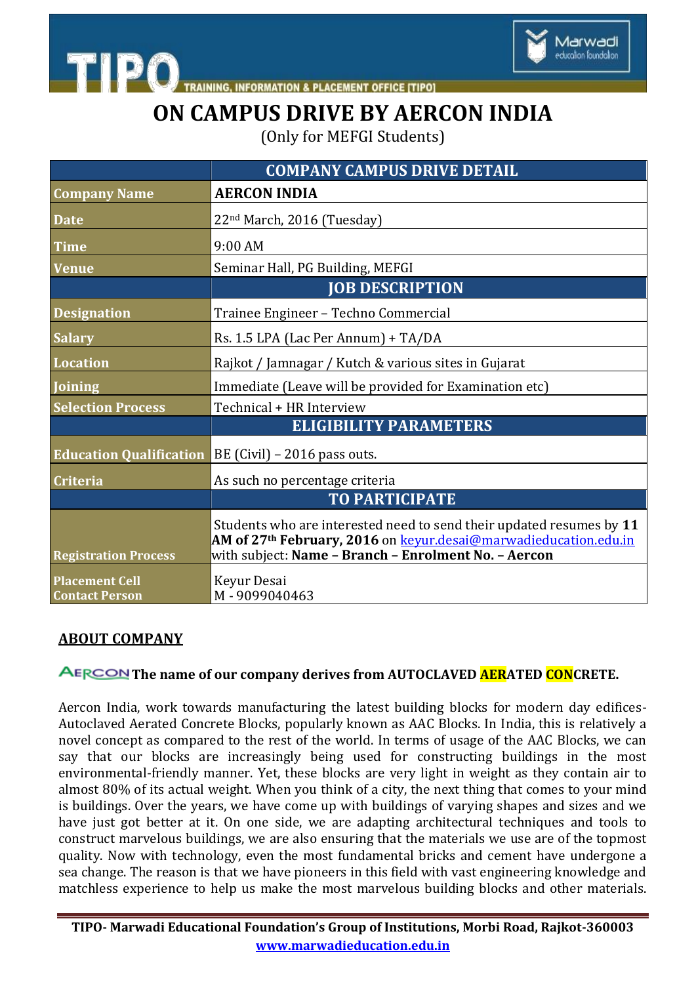

**ACEMENT OFFICE [TIPO]** 

## **ON CAMPUS DRIVE BY AERCON INDIA**

(Only for MEFGI Students)

|                                                | <b>COMPANY CAMPUS DRIVE DETAIL</b>                                                                                                                                                                                  |
|------------------------------------------------|---------------------------------------------------------------------------------------------------------------------------------------------------------------------------------------------------------------------|
| <b>Company Name</b>                            | <b>AERCON INDIA</b>                                                                                                                                                                                                 |
| <b>Date</b>                                    | 22 <sup>nd</sup> March, 2016 (Tuesday)                                                                                                                                                                              |
| <b>Time</b>                                    | $9:00$ AM                                                                                                                                                                                                           |
| <b>Venue</b>                                   | Seminar Hall, PG Building, MEFGI                                                                                                                                                                                    |
|                                                | <b>JOB DESCRIPTION</b>                                                                                                                                                                                              |
| <b>Designation</b>                             | Trainee Engineer - Techno Commercial                                                                                                                                                                                |
| <b>Salary</b>                                  | Rs. 1.5 LPA (Lac Per Annum) + TA/DA                                                                                                                                                                                 |
| <b>Location</b>                                | Rajkot / Jamnagar / Kutch & various sites in Gujarat                                                                                                                                                                |
| <b>Joining</b>                                 | Immediate (Leave will be provided for Examination etc)                                                                                                                                                              |
| <b>Selection Process</b>                       | Technical + HR Interview                                                                                                                                                                                            |
|                                                | <b>ELIGIBILITY PARAMETERS</b>                                                                                                                                                                                       |
| <b>Education Qualification</b>                 | $BE$ (Civil) – 2016 pass outs.                                                                                                                                                                                      |
| <b>Criteria</b>                                | As such no percentage criteria                                                                                                                                                                                      |
|                                                | <b>TO PARTICIPATE</b>                                                                                                                                                                                               |
| <b>Registration Process</b>                    | Students who are interested need to send their updated resumes by 11<br>AM of 27 <sup>th</sup> February, 2016 on <b>keyur.desai@marwadieducation.edu.in</b><br>with subject: Name - Branch - Enrolment No. - Aercon |
| <b>Placement Cell</b><br><b>Contact Person</b> | Keyur Desai<br>M-9099040463                                                                                                                                                                                         |

## **ABOUT COMPANY**

**TIPO** 

## **The name of our company derives from AUTOCLAVED AERATED CONCRETE.**

Aercon India, work towards manufacturing the latest building blocks for modern day edifices-Autoclaved Aerated Concrete Blocks, popularly known as AAC Blocks. In India, this is relatively a novel concept as compared to the rest of the world. In terms of usage of the AAC Blocks, we can say that our blocks are increasingly being used for constructing buildings in the most environmental-friendly manner. Yet, these blocks are very light in weight as they contain air to almost 80% of its actual weight. When you think of a city, the next thing that comes to your mind is buildings. Over the years, we have come up with buildings of varying shapes and sizes and we have just got better at it. On one side, we are adapting architectural techniques and tools to construct marvelous buildings, we are also ensuring that the materials we use are of the topmost quality. Now with technology, even the most fundamental bricks and cement have undergone a sea change. The reason is that we have pioneers in this field with vast engineering knowledge and matchless experience to help us make the most marvelous building blocks and other materials.